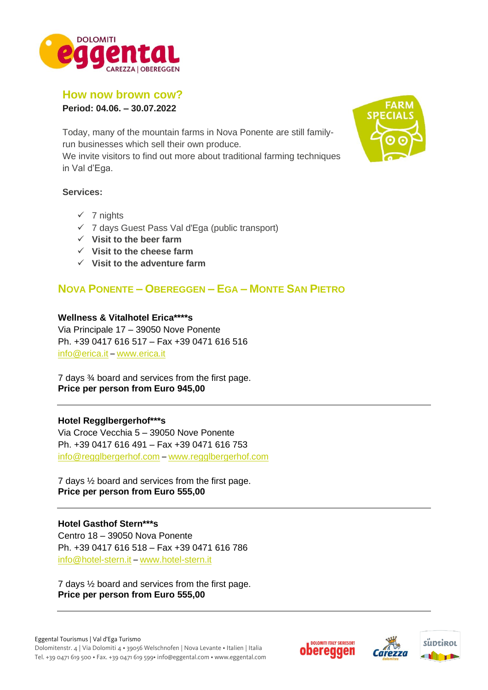

## **How now brown cow?**

**Period: 04.06. – 30.07.2022**

Today, many of the mountain farms in Nova Ponente are still familyrun businesses which sell their own produce.

We invite visitors to find out more about traditional farming techniques in Val d'Ega.

#### **Services:**

- $\times$  7 nights
- ✓ 7 days Guest Pass Val d'Ega (public transport)
- ✓ **Visit to the beer farm**
- ✓ **Visit to the cheese farm**
- ✓ **Visit to the adventure farm**

## **NOVA PONENTE – OBEREGGEN – EGA – MONTE SAN PIETRO**

#### **Wellness & Vitalhotel Erica\*\*\*\*s**

Via Principale 17 – 39050 Nove Ponente Ph. +39 0417 616 517 – Fax +39 0471 616 516 [info@erica.it](mailto:info@erica.it) – [www.erica.it](http://www.erica.it/)

7 days ¾ board and services from the first page. **Price per person from Euro 945,00**

#### **Hotel Regglbergerhof\*\*\*s**

Via Croce Vecchia 5 – 39050 Nove Ponente Ph. +39 0417 616 491 – Fax +39 0471 616 753 info@regglbergerhof.com – [www.regglbergerhof.com](http://www.regglbergerhof.com/)

7 days ½ board and services from the first page. **Price per person from Euro 555,00** 

### **Hotel Gasthof Stern\*\*\*s**

Centro 18 – 39050 Nova Ponente Ph. +39 0417 616 518 – Fax +39 0471 616 786 info@hotel-stern.it – [www.hotel-stern.it](http://www.hotel-stern.it/) 

7 days ½ board and services from the first page. **Price per person from Euro 555,00** 





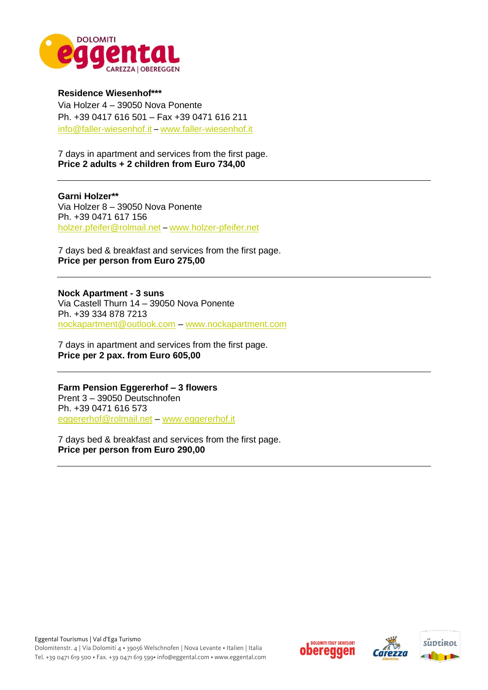

**Residence Wiesenhof\*\*\*** Via Holzer 4 – 39050 Nova Ponente Ph. +39 0417 616 501 – Fax +39 0471 616 211 info@faller-wiesenhof.it – [www.faller-wiesenhof.it](http://www.faller-wiesenhof.it/) 

7 days in apartment and services from the first page. **Price 2 adults + 2 children from Euro 734,00** 

**Garni Holzer\*\*** Via Holzer 8 – 39050 Nova Ponente Ph. +39 0471 617 156 [holzer.pfeifer@rolmail.net](mailto:holzer.pfeifer@rolmail.net) – [www.holzer-pfeifer.net](http://www.holzer-pfeifer.net/) 

7 days bed & breakfast and services from the first page. **Price per person from Euro 275,00** 

**Nock Apartment - 3 suns**  Via Castell Thurn 14 – 39050 Nova Ponente Ph. +39 334 878 7213 [nockapartment@outlook.com](mailto:nockapartment@outlook.com) – [www.nockapartment.com](http://www.nockapartment.com/)

7 days in apartment and services from the first page. **Price per 2 pax. from Euro 605,00** 

**Farm Pension Eggererhof – 3 flowers** Prent 3 – 39050 Deutschnofen Ph. +39 0471 616 573 [eggererhof@rolmail.net](mailto:eggererhof@rolmail.net) – [www.eggererhof.it](http://www.eggererhof.it/) 

7 days bed & breakfast and services from the first page. **Price per person from Euro 290,00**